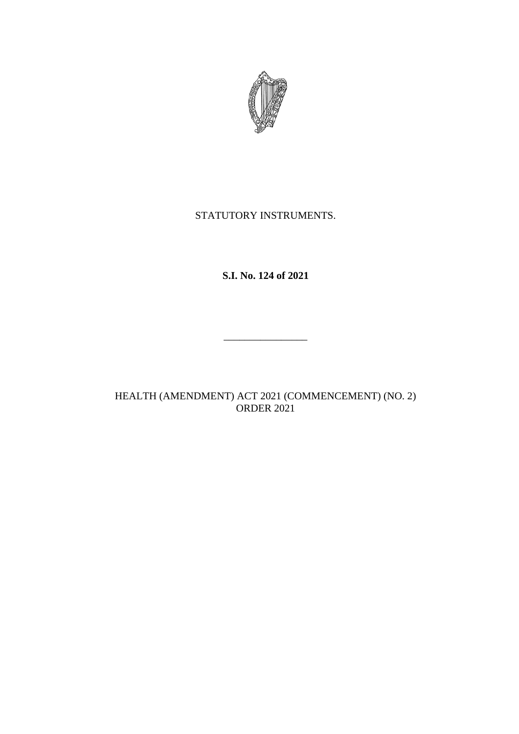

# STATUTORY INSTRUMENTS.

**S.I. No. 124 of 2021**

\_\_\_\_\_\_\_\_\_\_\_\_\_\_\_\_

HEALTH (AMENDMENT) ACT 2021 (COMMENCEMENT) (NO. 2) ORDER 2021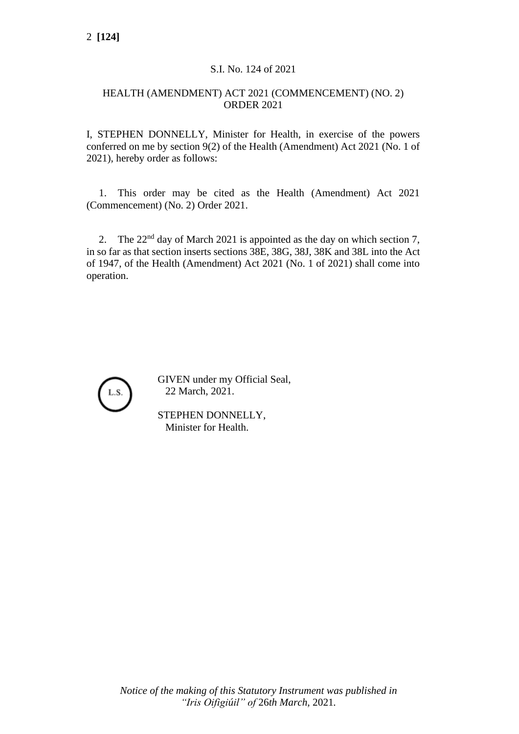### S.I. No. 124 of 2021

### HEALTH (AMENDMENT) ACT 2021 (COMMENCEMENT) (NO. 2) ORDER 2021

I, STEPHEN DONNELLY, Minister for Health, in exercise of the powers conferred on me by section 9(2) of the Health (Amendment) Act 2021 (No. 1 of 2021), hereby order as follows:

1. This order may be cited as the Health (Amendment) Act 2021 (Commencement) (No. 2) Order 2021.

2. The  $22<sup>nd</sup>$  day of March 2021 is appointed as the day on which section 7, in so far as that section inserts sections 38E, 38G, 38J, 38K and 38L into the Act of 1947, of the Health (Amendment) Act 2021 (No. 1 of 2021) shall come into operation.



GIVEN under my Official Seal, 22 March, 2021.

STEPHEN DONNELLY, Minister for Health.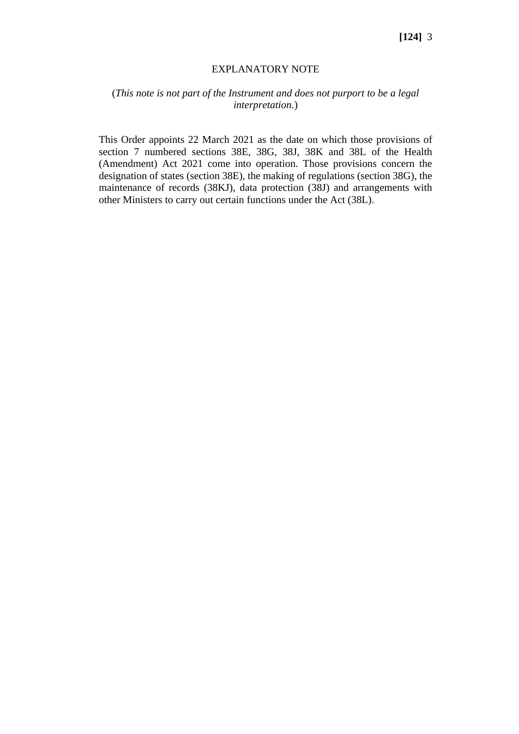#### EXPLANATORY NOTE

## (*This note is not part of the Instrument and does not purport to be a legal interpretation.*)

This Order appoints 22 March 2021 as the date on which those provisions of section 7 numbered sections 38E, 38G, 38J, 38K and 38L of the Health (Amendment) Act 2021 come into operation. Those provisions concern the designation of states (section 38E), the making of regulations (section 38G), the maintenance of records (38KJ), data protection (38J) and arrangements with other Ministers to carry out certain functions under the Act (38L).